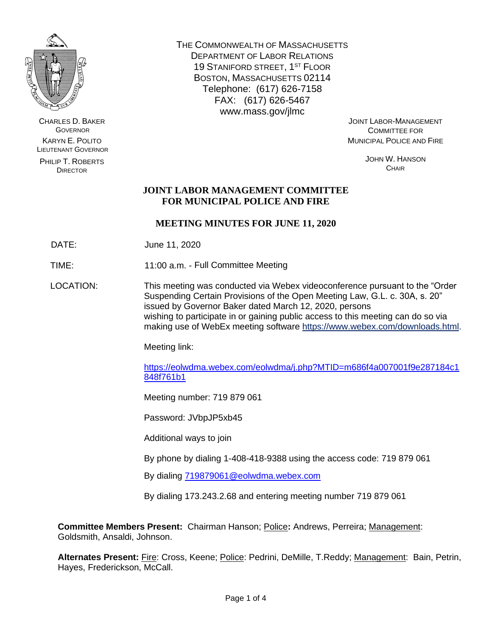

CHARLES D. BAKER **GOVERNOR** KARYN E. POLITO LIEUTENANT GOVERNOR

PHILIP T. ROBERTS DIRECTOR

THE COMMONWEALTH OF MASSACHUSETTS DEPARTMENT OF LABOR RELATIONS 19 STANIFORD STREET, 1ST FLOOR BOSTON, MASSACHUSETTS 02114 Telephone: (617) 626-7158 FAX: (617) 626-5467 www.mass.gov/jlmc

JOINT LABOR-MANAGEMENT COMMITTEE FOR MUNICIPAL POLICE AND FIRE

> JOHN W. HANSON **CHAIR**

# **JOINT LABOR MANAGEMENT COMMITTEE FOR MUNICIPAL POLICE AND FIRE**

# **MEETING MINUTES FOR JUNE 11, 2020**

DATE: June 11, 2020

TIME: 11:00 a.m. - Full Committee Meeting

LOCATION: This meeting was conducted via Webex videoconference pursuant to the "Order Suspending Certain Provisions of the Open Meeting Law, G.L. c. 30A, s. 20" issued by Governor Baker dated March 12, 2020, persons wishing to participate in or gaining public access to this meeting can do so via making use of WebEx meeting software [https://www.webex.com/downloads.html.](https://www.webex.com/downloads.html)

Meeting link:

[https://eolwdma.webex.com/eolwdma/j.php?MTID=m686f4a007001f9e287184c1](https://eolwdma.webex.com/eolwdma/j.php?MTID=m686f4a007001f9e287184c1848f761b1) [848f761b1](https://eolwdma.webex.com/eolwdma/j.php?MTID=m686f4a007001f9e287184c1848f761b1)

Meeting number: 719 879 061

Password: JVbpJP5xb45

Additional ways to join

By phone by dialing 1-408-418-9388 using the access code: 719 879 061

By dialing [719879061@eolwdma.webex.com](mailto:719879061@eolwdma.webex.com)

By dialing 173.243.2.68 and entering meeting number 719 879 061

**Committee Members Present:** Chairman Hanson; Police**:** Andrews, Perreira; Management: Goldsmith, Ansaldi, Johnson.

**Alternates Present:** Fire: Cross, Keene; Police: Pedrini, DeMille, T.Reddy; Management: Bain, Petrin, Hayes, Frederickson, McCall.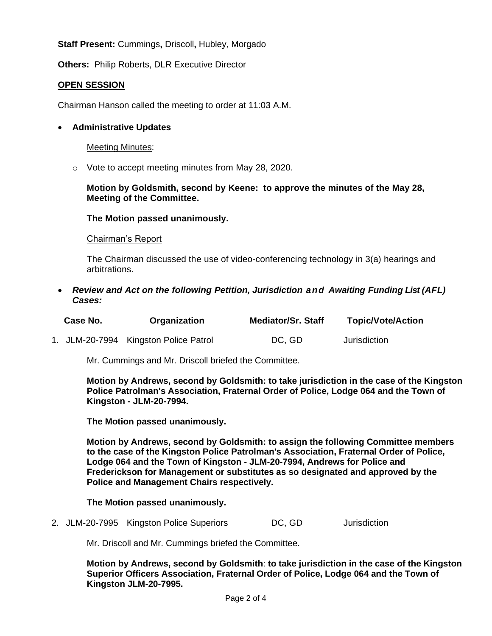**Staff Present:** Cummings**,** Driscoll**,** Hubley, Morgado

**Others:** Philip Roberts, DLR Executive Director

## **OPEN SESSION**

Chairman Hanson called the meeting to order at 11:03 A.M.

### • **Administrative Updates**

#### Meeting Minutes:

o Vote to accept meeting minutes from May 28, 2020.

### **Motion by Goldsmith, second by Keene: to approve the minutes of the May 28, Meeting of the Committee.**

## **The Motion passed unanimously.**

#### Chairman's Report

The Chairman discussed the use of video-conferencing technology in 3(a) hearings and arbitrations.

• *Review and Act on the following Petition, Jurisdiction and Awaiting Funding List (AFL) Cases:*

| Case No. | Organization                          | <b>Mediator/Sr. Staff</b> | <b>Topic/Vote/Action</b> |
|----------|---------------------------------------|---------------------------|--------------------------|
|          | 1. JLM-20-7994 Kingston Police Patrol | DC, GD                    | Jurisdiction             |

Mr. Cummings and Mr. Driscoll briefed the Committee.

**Motion by Andrews, second by Goldsmith: to take jurisdiction in the case of the Kingston Police Patrolman's Association, Fraternal Order of Police, Lodge 064 and the Town of Kingston - JLM-20-7994.**

**The Motion passed unanimously.**

**Motion by Andrews, second by Goldsmith: to assign the following Committee members to the case of the Kingston Police Patrolman's Association, Fraternal Order of Police, Lodge 064 and the Town of Kingston - JLM-20-7994, Andrews for Police and Frederickson for Management or substitutes as so designated and approved by the Police and Management Chairs respectively.** 

## **The Motion passed unanimously.**

2. JLM-20-7995 Kingston Police Superiors DC, GD Jurisdiction

Mr. Driscoll and Mr. Cummings briefed the Committee.

**Motion by Andrews, second by Goldsmith**: **to take jurisdiction in the case of the Kingston Superior Officers Association, Fraternal Order of Police, Lodge 064 and the Town of Kingston JLM-20-7995.**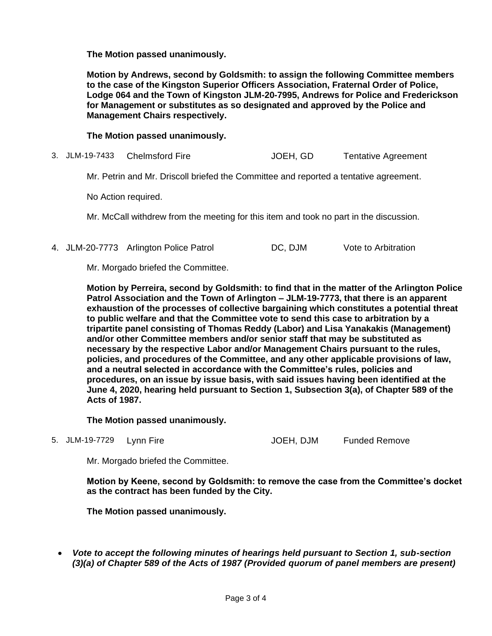**The Motion passed unanimously.**

**Motion by Andrews, second by Goldsmith: to assign the following Committee members to the case of the Kingston Superior Officers Association, Fraternal Order of Police, Lodge 064 and the Town of Kingston JLM-20-7995, Andrews for Police and Frederickson for Management or substitutes as so designated and approved by the Police and Management Chairs respectively.** 

**The Motion passed unanimously.**

3. JLM-19-7433 Chelmsford Fire JOEH, GD Tentative Agreement

Mr. Petrin and Mr. Driscoll briefed the Committee and reported a tentative agreement.

No Action required.

Mr. McCall withdrew from the meeting for this item and took no part in the discussion.

4. JLM-20-7773 Arlington Police Patrol DC, DJM Vote to Arbitration

Mr. Morgado briefed the Committee.

**Motion by Perreira, second by Goldsmith: to find that in the matter of the Arlington Police Patrol Association and the Town of Arlington – JLM-19-7773, that there is an apparent exhaustion of the processes of collective bargaining which constitutes a potential threat to public welfare and that the Committee vote to send this case to arbitration by a tripartite panel consisting of Thomas Reddy (Labor) and Lisa Yanakakis (Management) and/or other Committee members and/or senior staff that may be substituted as necessary by the respective Labor and/or Management Chairs pursuant to the rules, policies, and procedures of the Committee, and any other applicable provisions of law, and a neutral selected in accordance with the Committee's rules, policies and procedures, on an issue by issue basis, with said issues having been identified at the June 4, 2020, hearing held pursuant to Section 1, Subsection 3(a), of Chapter 589 of the Acts of 1987.**

**The Motion passed unanimously.**

5. JLM-19-7729 Lynn Fire Christian Museum JOEH, DJM Funded Remove

Mr. Morgado briefed the Committee.

**Motion by Keene, second by Goldsmith: to remove the case from the Committee's docket as the contract has been funded by the City.**

**The Motion passed unanimously.**

• *Vote to accept the following minutes of hearings held pursuant to Section 1, sub-section (3)(a) of Chapter 589 of the Acts of 1987 (Provided quorum of panel members are present)*